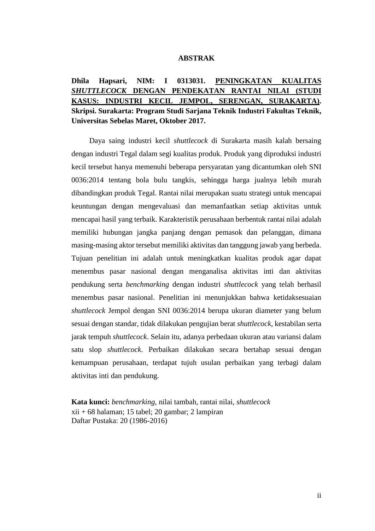## **ABSTRAK**

## **Dhila Hapsari, NIM: I 0313031. PENINGKATAN KUALITAS**  *SHUTTLECOCK* **DENGAN PENDEKATAN RANTAI NILAI (STUDI KASUS: INDUSTRI KECIL JEMPOL, SERENGAN, SURAKARTA). Skripsi. Surakarta: Program Studi Sarjana Teknik Industri Fakultas Teknik, Universitas Sebelas Maret, Oktober 2017.**

Daya saing industri kecil *shuttlecock* di Surakarta masih kalah bersaing dengan industri Tegal dalam segi kualitas produk. Produk yang diproduksi industri kecil tersebut hanya memenuhi beberapa persyaratan yang dicantumkan oleh SNI 0036:2014 tentang bola bulu tangkis, sehingga harga jualnya lebih murah dibandingkan produk Tegal. Rantai nilai merupakan suatu strategi untuk mencapai keuntungan dengan mengevaluasi dan memanfaatkan setiap aktivitas untuk mencapai hasil yang terbaik. Karakteristik perusahaan berbentuk rantai nilai adalah memiliki hubungan jangka panjang dengan pemasok dan pelanggan, dimana masing-masing aktor tersebut memiliki aktivitas dan tanggung jawab yang berbeda. Tujuan penelitian ini adalah untuk meningkatkan kualitas produk agar dapat menembus pasar nasional dengan menganalisa aktivitas inti dan aktivitas pendukung serta *benchmarking* dengan industri *shuttlecock* yang telah berhasil menembus pasar nasional. Penelitian ini menunjukkan bahwa ketidaksesuaian *shuttlecock* Jempol dengan SNI 0036:2014 berupa ukuran diameter yang belum sesuai dengan standar, tidak dilakukan pengujian berat *shuttlecock*, kestabilan serta jarak tempuh *shuttlecock*. Selain itu, adanya perbedaan ukuran atau variansi dalam satu slop *shuttlecock*. Perbaikan dilakukan secara bertahap sesuai dengan kemampuan perusahaan, terdapat tujuh usulan perbaikan yang terbagi dalam aktivitas inti dan pendukung.

**Kata kunci:** *benchmarking,* nilai tambah, rantai nilai, *shuttlecock* xii + 68 halaman; 15 tabel; 20 gambar; 2 lampiran Daftar Pustaka: 20 (1986-2016)